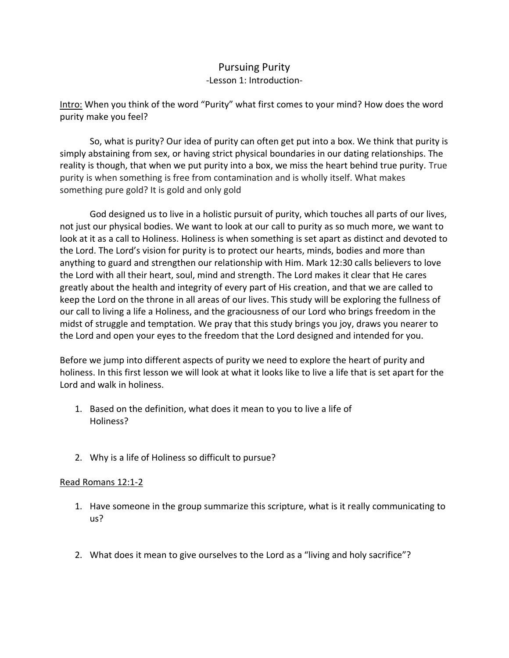## Pursuing Purity -Lesson 1: Introduction-

Intro: When you think of the word "Purity" what first comes to your mind? How does the word purity make you feel?

So, what is purity? Our idea of purity can often get put into a box. We think that purity is simply abstaining from sex, or having strict physical boundaries in our dating relationships. The reality is though, that when we put purity into a box, we miss the heart behind true purity. True purity is when something is free from contamination and is wholly itself. What makes something pure gold? It is gold and only gold

God designed us to live in a holistic pursuit of purity, which touches all parts of our lives, not just our physical bodies. We want to look at our call to purity as so much more, we want to look at it as a call to Holiness. Holiness is when something is set apart as distinct and devoted to the Lord. The Lord's vision for purity is to protect our hearts, minds, bodies and more than anything to guard and strengthen our relationship with Him. Mark 12:30 calls believers to love the Lord with all their heart, soul, mind and strength. The Lord makes it clear that He cares greatly about the health and integrity of every part of His creation, and that we are called to keep the Lord on the throne in all areas of our lives. This study will be exploring the fullness of our call to living a life a Holiness, and the graciousness of our Lord who brings freedom in the midst of struggle and temptation. We pray that this study brings you joy, draws you nearer to the Lord and open your eyes to the freedom that the Lord designed and intended for you.

Before we jump into different aspects of purity we need to explore the heart of purity and holiness. In this first lesson we will look at what it looks like to live a life that is set apart for the Lord and walk in holiness.

- 1. Based on the definition, what does it mean to you to live a life of Holiness?
- 2. Why is a life of Holiness so difficult to pursue?

## Read Romans 12:1-2

- 1. Have someone in the group summarize this scripture, what is it really communicating to us?
- 2. What does it mean to give ourselves to the Lord as a "living and holy sacrifice"?